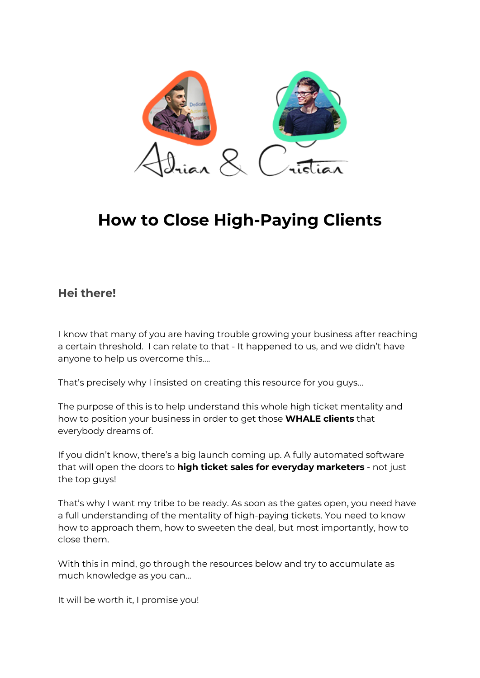

# **How to Close High-Paying Clients**

#### **Hei there!**

I know that many of you are having trouble growing your business after reaching a certain threshold. I can relate to that - It happened to us, and we didn't have anyone to help us overcome this….

That's precisely why I insisted on creating this resource for you guys…

The purpose of this is to help understand this whole high ticket mentality and how to position your business in order to get those **WHALE clients** that everybody dreams of.

If you didn't know, there's a big launch coming up. A fully automated software that will open the doors to **high ticket sales for everyday marketers** - not just the top guys!

That's why I want my tribe to be ready. As soon as the gates open, you need have a full understanding of the mentality of high-paying tickets. You need to know how to approach them, how to sweeten the deal, but most importantly, how to close them.

With this in mind, go through the resources below and try to accumulate as much knowledge as you can…

It will be worth it, I promise you!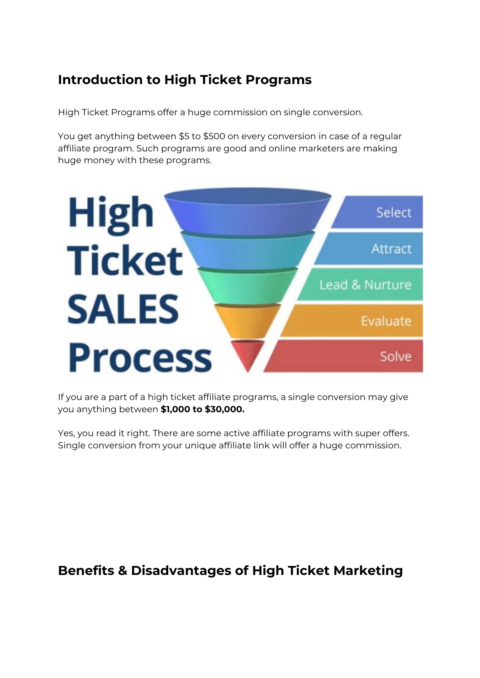## **Introduction to High Ticket Programs**

High Ticket Programs offer a huge commission on single conversion.

You get anything between \$5 to \$500 on every conversion in case of a regular affiliate program. Such programs are good and online marketers are making huge money with these programs.



If you are a part of a high ticket affiliate programs, a single conversion may give you anything between **\$1,000 to \$30,000.**

Yes, you read it right. There are some active affiliate programs with super offers. Single conversion from your unique affiliate link will offer a huge commission.

### **Benefits & Disadvantages of High Ticket Marketing**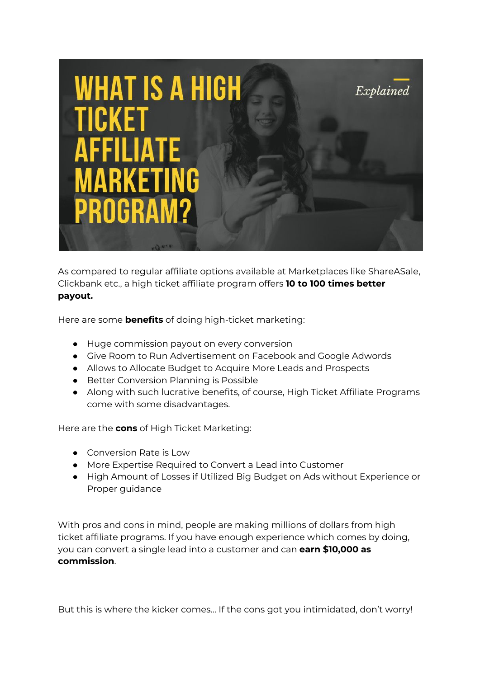

As compared to regular affiliate options available at Marketplaces like ShareASale, Clickbank etc., a high ticket affiliate program offers **10 to 100 times better payout.**

Here are some **benefits** of doing high-ticket marketing:

- Huge commission payout on every conversion
- Give Room to Run Advertisement on Facebook and Google Adwords
- Allows to Allocate Budget to Acquire More Leads and Prospects
- Better Conversion Planning is Possible
- Along with such lucrative benefits, of course, High Ticket Affiliate Programs come with some disadvantages.

Here are the **cons** of High Ticket Marketing:

- Conversion Rate is Low
- More Expertise Required to Convert a Lead into Customer
- High Amount of Losses if Utilized Big Budget on Ads without Experience or Proper guidance

With pros and cons in mind, people are making millions of dollars from high ticket affiliate programs. If you have enough experience which comes by doing, you can convert a single lead into a customer and can **earn \$10,000 as commission**.

But this is where the kicker comes… If the cons got you intimidated, don't worry!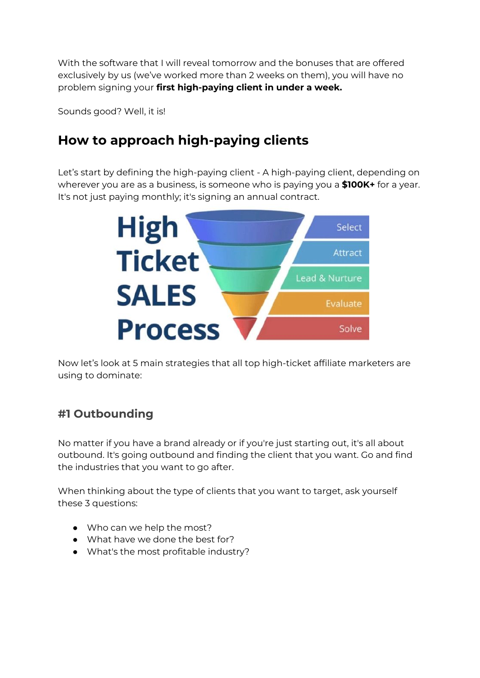With the software that I will reveal tomorrow and the bonuses that are offered exclusively by us (we've worked more than 2 weeks on them), you will have no problem signing your **first high-paying client in under a week.**

Sounds good? Well, it is!

## **How to approach high-paying clients**

Let's start by defining the high-paying client - A high-paying client, depending on wherever you are as a business, is someone who is paying you a **\$100K+** for a year. It's not just paying monthly; it's signing an annual contract.



Now let's look at 5 main strategies that all top high-ticket affiliate marketers are using to dominate:

### **#1 Outbounding**

No matter if you have a brand already or if you're just starting out, it's all about outbound. It's going outbound and finding the client that you want. Go and find the industries that you want to go after.

When thinking about the type of clients that you want to target, ask yourself these 3 questions:

- Who can we help the most?
- What have we done the best for?
- What's the most profitable industry?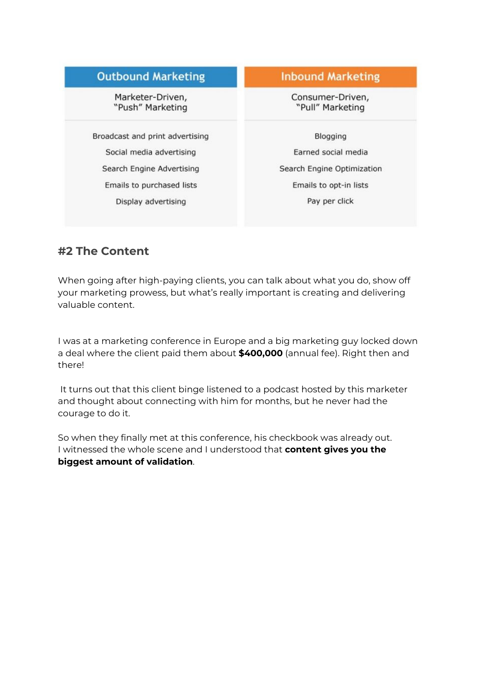| <b>Outbound Marketing</b>            | <b>Inbound Marketing</b><br>Consumer-Driven,<br>"Pull" Marketing |  |
|--------------------------------------|------------------------------------------------------------------|--|
| Marketer-Driven,<br>"Push" Marketing |                                                                  |  |
| Broadcast and print advertising      | <b>Blogging</b>                                                  |  |
| Social media advertising             | Earned social media                                              |  |
| Search Engine Advertising            | Search Engine Optimization                                       |  |
| Emails to purchased lists            | Emails to opt-in lists                                           |  |
| Display advertising                  | Pay per click                                                    |  |

#### **#2 The Content**

When going after high-paying clients, you can talk about what you do, show off your marketing prowess, but what's really important is creating and delivering valuable content.

I was at a marketing conference in Europe and a big marketing guy locked down a deal where the client paid them about **\$400,000** (annual fee). Right then and there!

It turns out that this client binge listened to a podcast hosted by this marketer and thought about connecting with him for months, but he never had the courage to do it.

So when they finally met at this conference, his checkbook was already out. I witnessed the whole scene and I understood that **content gives you the biggest amount of validation**.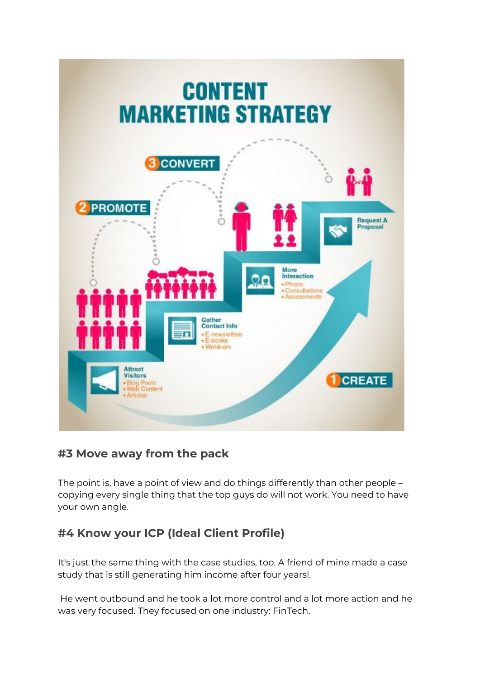

### **#3 Move away from the pack**

The point is, have a point of view and do things differently than other people – copying every single thing that the top guys do will not work. You need to have your own angle.

### **#4 Know your ICP (Ideal Client Profile)**

It's just the same thing with the case studies, too. A friend of mine made a case study that is still generating him income after four years!.

He went outbound and he took a lot more control and a lot more action and he was very focused. They focused on one industry: FinTech.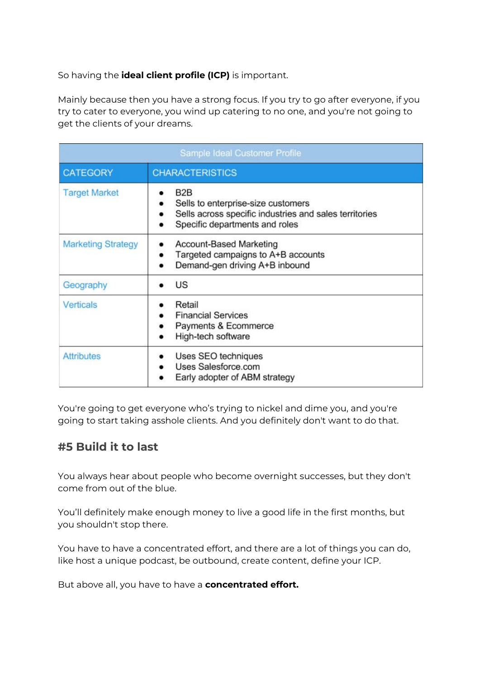So having the **ideal client profile (ICP)** is important.

Mainly because then you have a strong focus. If you try to go after everyone, if you try to cater to everyone, you wind up catering to no one, and you're not going to get the clients of your dreams.

| Sample Ideal Customer Profile |                                                                                                                                                    |  |  |
|-------------------------------|----------------------------------------------------------------------------------------------------------------------------------------------------|--|--|
| <b>CATEGORY</b>               | <b>CHARACTERISTICS</b>                                                                                                                             |  |  |
| <b>Target Market</b>          | B <sub>2</sub> B<br>Sells to enterprise-size customers<br>Sells across specific industries and sales territories<br>Specific departments and roles |  |  |
| <b>Marketing Strategy</b>     | <b>Account-Based Marketing</b><br>Targeted campaigns to A+B accounts<br>Demand-gen driving A+B inbound                                             |  |  |
| Geography                     | <b>US</b>                                                                                                                                          |  |  |
| <b>Verticals</b>              | Retail<br><b>Financial Services</b><br>Payments & Ecommerce<br>High-tech software                                                                  |  |  |
| <b>Attributes</b>             | Uses SEO techniques<br>Uses Salesforce.com<br>Early adopter of ABM strategy                                                                        |  |  |

You're going to get everyone who's trying to nickel and dime you, and you're going to start taking asshole clients. And you definitely don't want to do that.

#### **#5 Build it to last**

You always hear about people who become overnight successes, but they don't come from out of the blue.

You'll definitely make enough money to live a good life in the first months, but you shouldn't stop there.

You have to have a concentrated effort, and there are a lot of things you can do, like host a unique podcast, be outbound, create content, define your ICP.

But above all, you have to have a **concentrated effort.**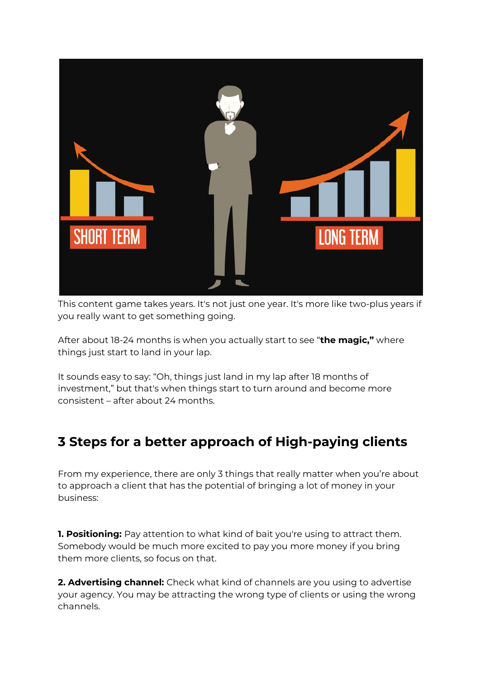

This content game takes years. It's not just one year. It's more like two-plus years if you really want to get something going.

After about 18-24 months is when you actually start to see "**the magic,"** where things just start to land in your lap.

It sounds easy to say: "Oh, things just land in my lap after 18 months of investment," but that's when things start to turn around and become more consistent – after about 24 months.

# **3 Steps for a better approach of High-paying clients**

From my experience, there are only 3 things that really matter when you're about to approach a client that has the potential of bringing a lot of money in your business:

**1. Positioning:** Pay attention to what kind of bait you're using to attract them. Somebody would be much more excited to pay you more money if you bring them more clients, so focus on that.

**2. Advertising channel:** Check what kind of channels are you using to advertise your agency. You may be attracting the wrong type of clients or using the wrong channels.